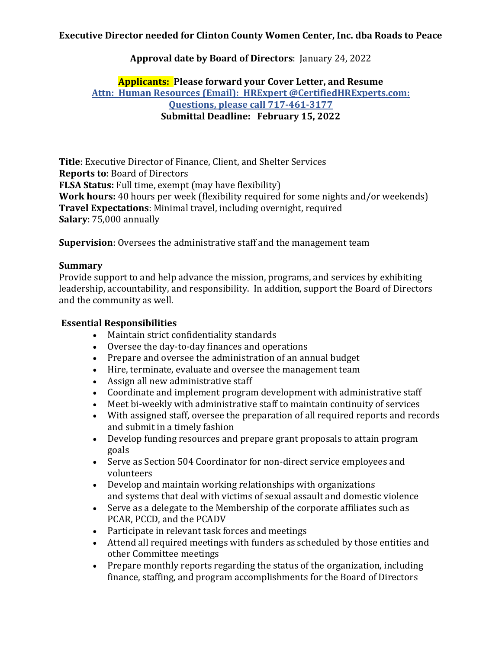## **Executive Director needed for Clinton County Women Center, Inc. dba Roads to Peace**

# **Approval date by Board of Directors**: January 24, 2022

## **Applicants: Please forward your Cover Letter, and Resume Attn: Human Resources (Email): HRExpert [@CertifiedHRExperts.com:](mailto:HRExpert@certifiedhrexperts.com) Questions, please call 717-461-3177 Submittal Deadline: February 15, 2022**

**Title**: Executive Director of Finance, Client, and Shelter Services **Reports to**: Board of Directors **FLSA Status:** Full time, exempt (may have flexibility) **Work hours:** 40 hours per week (flexibility required for some nights and/or weekends) **Travel Expectations**: Minimal travel, including overnight, required **Salary**: 75,000 annually

**Supervision**: Oversees the administrative staff and the management team

#### **Summary**

Provide support to and help advance the mission, programs, and services by exhibiting leadership, accountability, and responsibility. In addition, support the Board of Directors and the community as well.

#### **Essential Responsibilities**

- Maintain strict confidentiality standards
- Oversee the day-to-day finances and operations
- Prepare and oversee the administration of an annual budget
- Hire, terminate, evaluate and oversee the management team
- Assign all new administrative staff
- Coordinate and implement program development with administrative staff
- Meet bi-weekly with administrative staff to maintain continuity of services
- With assigned staff, oversee the preparation of all required reports and records and submit in a timely fashion
- Develop funding resources and prepare grant proposals to attain program goals
- Serve as Section 504 Coordinator for non-direct service employees and volunteers
- Develop and maintain working relationships with organizations and systems that deal with victims of sexual assault and domestic violence
- Serve as a delegate to the Membership of the corporate affiliates such as PCAR, PCCD, and the PCADV
- Participate in relevant task forces and meetings
- Attend all required meetings with funders as scheduled by those entities and other Committee meetings
- Prepare monthly reports regarding the status of the organization, including finance, staffing, and program accomplishments for the Board of Directors